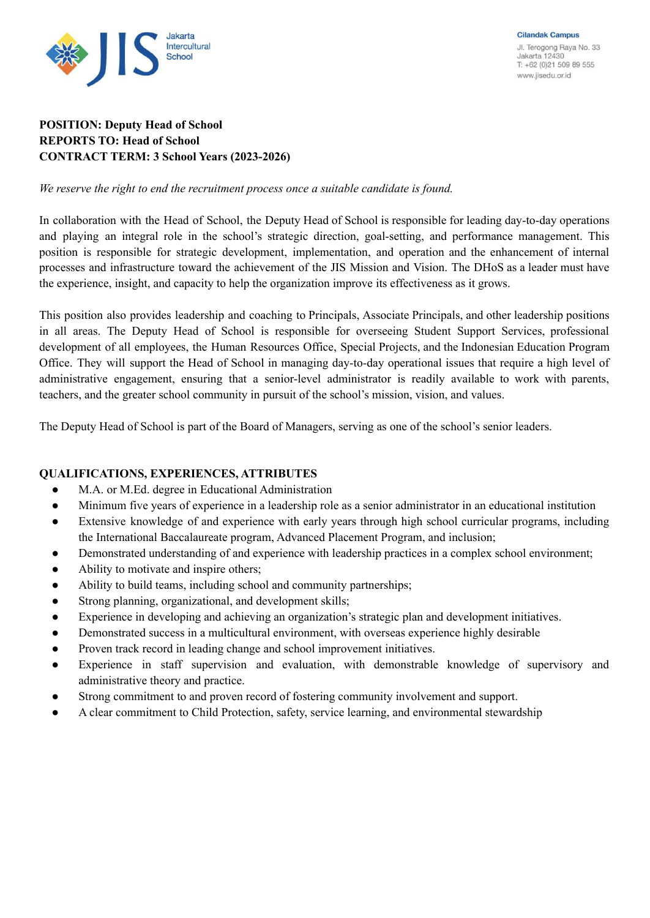

# **POSITION: Deputy Head of School REPORTS TO: Head of School CONTRACT TERM: 3 School Years (2023-2026)**

*We reserve the right to end the recruitment process once a suitable candidate is found.*

In collaboration with the Head of School, the Deputy Head of School is responsible for leading day-to-day operations and playing an integral role in the school's strategic direction, goal-setting, and performance management. This position is responsible for strategic development, implementation, and operation and the enhancement of internal processes and infrastructure toward the achievement of the JIS Mission and Vision. The DHoS as a leader must have the experience, insight, and capacity to help the organization improve its effectiveness as it grows.

This position also provides leadership and coaching to Principals, Associate Principals, and other leadership positions in all areas. The Deputy Head of School is responsible for overseeing Student Support Services, professional development of all employees, the Human Resources Office, Special Projects, and the Indonesian Education Program Office. They will support the Head of School in managing day-to-day operational issues that require a high level of administrative engagement, ensuring that a senior-level administrator is readily available to work with parents, teachers, and the greater school community in pursuit of the school's mission, vision, and values.

The Deputy Head of School is part of the Board of Managers, serving as one of the school's senior leaders.

## **QUALIFICATIONS, EXPERIENCES, ATTRIBUTES**

- M.A. or M.Ed. degree in Educational Administration
- Minimum five years of experience in a leadership role as a senior administrator in an educational institution
- Extensive knowledge of and experience with early years through high school curricular programs, including the International Baccalaureate program, Advanced Placement Program, and inclusion;
- Demonstrated understanding of and experience with leadership practices in a complex school environment;
- Ability to motivate and inspire others:
- Ability to build teams, including school and community partnerships;
- Strong planning, organizational, and development skills;
- Experience in developing and achieving an organization's strategic plan and development initiatives.
- Demonstrated success in a multicultural environment, with overseas experience highly desirable
- Proven track record in leading change and school improvement initiatives.
- Experience in staff supervision and evaluation, with demonstrable knowledge of supervisory and administrative theory and practice.
- Strong commitment to and proven record of fostering community involvement and support.
- A clear commitment to Child Protection, safety, service learning, and environmental stewardship